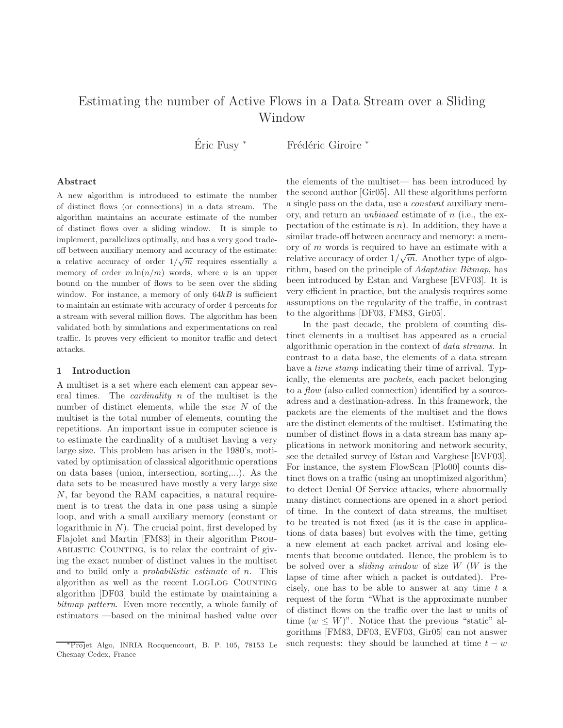# Estimating the number of Active Flows in a Data Stream over a Sliding Window

Éric Fusy \* Frédéric Giroire \*

## Abstract

A new algorithm is introduced to estimate the number of distinct flows (or connections) in a data stream. The algorithm maintains an accurate estimate of the number of distinct flows over a sliding window. It is simple to implement, parallelizes optimally, and has a very good tradeoff between auxiliary memory and accuracy of the estimate: a relative accuracy of order  $1/\sqrt{m}$  requires essentially a memory of order  $m \ln(n/m)$  words, where *n* is an upper bound on the number of flows to be seen over the sliding window. For instance, a memory of only  $64kB$  is sufficient to maintain an estimate with accuracy of order 4 percents for a stream with several million flows. The algorithm has been validated both by simulations and experimentations on real traffic. It proves very efficient to monitor traffic and detect attacks.

#### 1 Introduction

A multiset is a set where each element can appear several times. The cardinality n of the multiset is the number of distinct elements, while the size N of the multiset is the total number of elements, counting the repetitions. An important issue in computer science is to estimate the cardinality of a multiset having a very large size. This problem has arisen in the 1980's, motivated by optimisation of classical algorithmic operations on data bases (union, intersection, sorting,...). As the data sets to be measured have mostly a very large size N, far beyond the RAM capacities, a natural requirement is to treat the data in one pass using a simple loop, and with a small auxiliary memory (constant or logarithmic in  $N$ ). The crucial point, first developed by Flajolet and Martin [FM83] in their algorithm Probabilistic Counting, is to relax the contraint of giving the exact number of distinct values in the multiset and to build only a probabilistic estimate of n. This algorithm as well as the recent LOGLOG COUNTING algorithm [DF03] build the estimate by maintaining a bitmap pattern. Even more recently, a whole family of estimators —based on the minimal hashed value over the elements of the multiset— has been introduced by the second author [Gir05]. All these algorithms perform a single pass on the data, use a constant auxiliary memory, and return an unbiased estimate of n (i.e., the expectation of the estimate is  $n$ ). In addition, they have a similar trade-off between accuracy and memory: a memory of m words is required to have an estimate with a relative accuracy of order  $1/\sqrt{m}$ . Another type of algorithm, based on the principle of Adaptative Bitmap, has been introduced by Estan and Varghese [EVF03]. It is very efficient in practice, but the analysis requires some assumptions on the regularity of the traffic, in contrast to the algorithms [DF03, FM83, Gir05].

In the past decade, the problem of counting distinct elements in a multiset has appeared as a crucial algorithmic operation in the context of data streams. In contrast to a data base, the elements of a data stream have a *time stamp* indicating their time of arrival. Typically, the elements are packets, each packet belonging to a *flow* (also called connection) identified by a sourceadress and a destination-adress. In this framework, the packets are the elements of the multiset and the flows are the distinct elements of the multiset. Estimating the number of distinct flows in a data stream has many applications in network monitoring and network security, see the detailed survey of Estan and Varghese [EVF03]. For instance, the system FlowScan [Plo00] counts distinct flows on a traffic (using an unoptimized algorithm) to detect Denial Of Service attacks, where abnormally many distinct connections are opened in a short period of time. In the context of data streams, the multiset to be treated is not fixed (as it is the case in applications of data bases) but evolves with the time, getting a new element at each packet arrival and losing elements that become outdated. Hence, the problem is to be solved over a *sliding window* of size  $W$  ( $W$  is the lapse of time after which a packet is outdated). Precisely, one has to be able to answer at any time  $t$  a request of the form "What is the approximate number of distinct flows on the traffic over the last w units of time  $(w \leq W)$ ". Notice that the previous "static" algorithms [FM83, DF03, EVF03, Gir05] can not answer such requests: they should be launched at time  $t - w$ 

Projet Algo, INRIA Rocquencourt, B. P. 105, 78153 Le Chesnay Cedex, France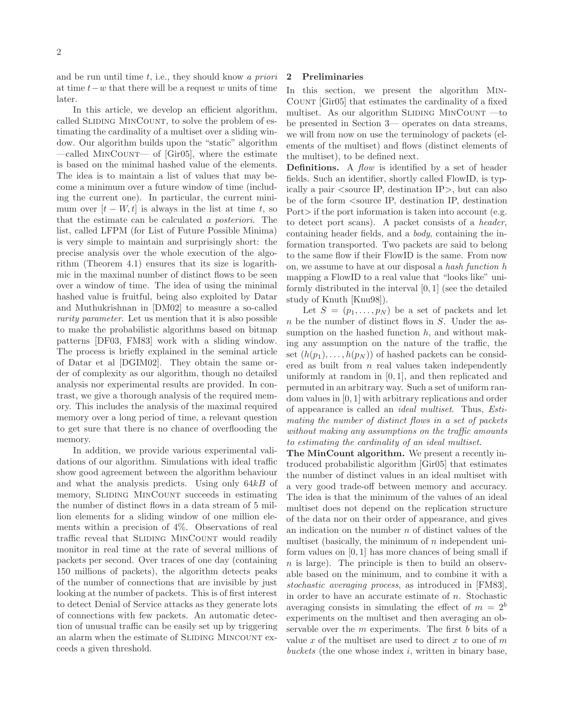and be run until time  $t$ , i.e., they should know a priori at time  $t-w$  that there will be a request w units of time later.

In this article, we develop an efficient algorithm, called SLIDING MINCOUNT, to solve the problem of estimating the cardinality of a multiset over a sliding window. Our algorithm builds upon the "static" algorithm —called MinCount— of [Gir05], where the estimate is based on the minimal hashed value of the elements. The idea is to maintain a list of values that may become a minimum over a future window of time (including the current one). In particular, the current minimum over  $[t - W, t]$  is always in the list at time t, so that the estimate can be calculated a posteriori. The list, called LFPM (for List of Future Possible Minima) is very simple to maintain and surprisingly short: the precise analysis over the whole execution of the algorithm (Theorem 4.1) ensures that its size is logarithmic in the maximal number of distinct flows to be seen over a window of time. The idea of using the minimal hashed value is fruitful, being also exploited by Datar and Muthukrishnan in [DM02] to measure a so-called rarity parameter. Let us mention that it is also possible to make the probabilistic algorithms based on bitmap patterns [DF03, FM83] work with a sliding window. The process is briefly explained in the seminal article of Datar et al [DGIM02]. They obtain the same order of complexity as our algorithm, though no detailed analysis nor experimental results are provided. In contrast, we give a thorough analysis of the required memory. This includes the analysis of the maximal required memory over a long period of time, a relevant question to get sure that there is no chance of overflooding the memory.

In addition, we provide various experimental validations of our algorithm. Simulations with ideal traffic show good agreement between the algorithm behaviour and what the analysis predicts. Using only  $64kB$  of memory, SLIDING MINCOUNT succeeds in estimating the number of distinct flows in a data stream of 5 million elements for a sliding window of one million elements within a precision of 4%. Observations of real traffic reveal that SLIDING MINCOUNT would readily monitor in real time at the rate of several millions of packets per second. Over traces of one day (containing 150 millions of packets), the algorithm detects peaks of the number of connections that are invisible by just looking at the number of packets. This is of first interest to detect Denial of Service attacks as they generate lots of connections with few packets. An automatic detection of unusual traffic can be easily set up by triggering an alarm when the estimate of SLIDING MINCOUNT exceeds a given threshold.

#### 2 Preliminaries

In this section, we present the algorithm Min-Count [Gir05] that estimates the cardinality of a fixed multiset. As our algorithm SLIDING MINCOUNT  $-$  to be presented in Section 3— operates on data streams, we will from now on use the terminology of packets (elements of the multiset) and flows (distinct elements of the multiset), to be defined next.

Definitions. A *flow* is identified by a set of header fields. Such an identifier, shortly called FlowID, is typically a pair <source IP, destination IP>, but can also be of the form <source IP, destination IP, destination Port if the port information is taken into account (e.g. to detect port scans). A packet consists of a header, containing header fields, and a body, containing the information transported. Two packets are said to belong to the same flow if their FlowID is the same. From now on, we assume to have at our disposal a hash function h mapping a FlowID to a real value that "looks like" uniformly distributed in the interval [0, 1] (see the detailed study of Knuth [Knu98]).

Let  $S = (p_1, \ldots, p_N)$  be a set of packets and let  $n$  be the number of distinct flows in  $S$ . Under the assumption on the hashed function  $h$ , and without making any assumption on the nature of the traffic, the set  $(h(p_1), \ldots, h(p_N))$  of hashed packets can be considered as built from  $n$  real values taken independently uniformly at random in [0, 1], and then replicated and permuted in an arbitrary way. Such a set of uniform random values in [0, 1] with arbitrary replications and order of appearance is called an ideal multiset. Thus, Estimating the number of distinct flows in a set of packets without making any assumptions on the traffic amounts to estimating the cardinality of an ideal multiset.

The MinCount algorithm. We present a recently introduced probabilistic algorithm [Gir05] that estimates the number of distinct values in an ideal multiset with a very good trade-off between memory and accuracy. The idea is that the minimum of the values of an ideal multiset does not depend on the replication structure of the data nor on their order of appearance, and gives an indication on the number  $n$  of distinct values of the multiset (basically, the minimum of  $n$  independent uniform values on [0, 1] has more chances of being small if  $n$  is large). The principle is then to build an observable based on the minimum, and to combine it with a stochastic averaging process, as introduced in [FM83], in order to have an accurate estimate of  $n$ . Stochastic averaging consists in simulating the effect of  $m = 2<sup>b</sup>$ experiments on the multiset and then averaging an observable over the  $m$  experiments. The first  $b$  bits of a value x of the multiset are used to direct x to one of  $m$ buckets (the one whose index  $i$ , written in binary base,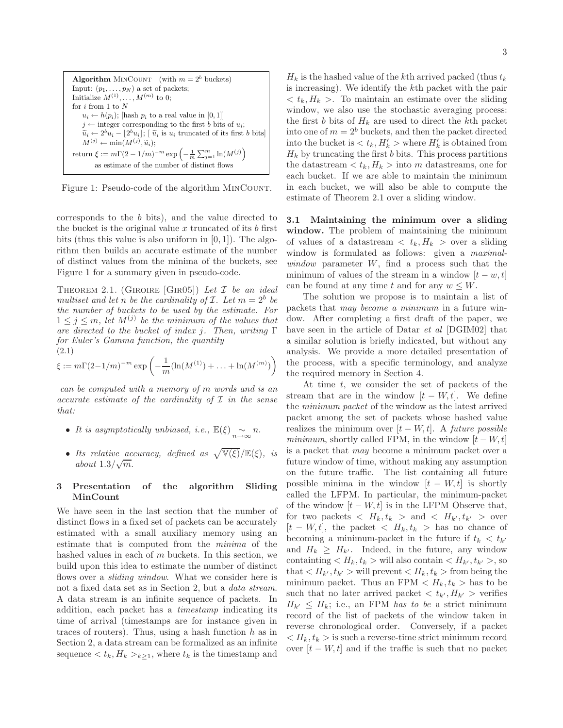**Algorithm** MINCOUNT (with  $m = 2^b$  buckets) Input:  $(p_1, \ldots, p_N)$  a set of packets; Initialize  $M^{(1)}, \ldots, M^{(m)}$  to 0; for  $i$  from  $1$  to  ${\cal N}$  $u_i \leftarrow h(p_i);$  [hash  $p_i$  to a real value in [0, 1]]  $j \leftarrow$  integer corresponding to the first b bits of  $u_i$ ;  $\widetilde{u}_i \leftarrow 2^b u_i - \lfloor 2^b u_i \rfloor; \lfloor \widetilde{u}_i \text{ is } u_i \text{ truncated of its first } b \text{ bits} \rfloor$  $M^{(j)} \leftarrow \min(M^{(j)}, \widetilde{u}_i);$ return  $\xi := m\Gamma(2 - 1/m)^{-m} \exp\left(-\frac{1}{m} \sum_{j=1}^m \ln(M^{(j)})\right)$ as estimate of the number of distinct flows

Figure 1: Pseudo-code of the algorithm MINCOUNT.

corresponds to the b bits), and the value directed to the bucket is the original value  $x$  truncated of its  $b$  first bits (thus this value is also uniform in  $[0, 1]$ ). The algorithm then builds an accurate estimate of the number of distinct values from the minima of the buckets, see Figure 1 for a summary given in pseudo-code.

THEOREM 2.1. (GIROIRE [GIRO5]) Let  $\mathcal I$  be an ideal multiset and let n be the cardinality of  $\mathcal{I}$ . Let  $m = 2^b$  be the number of buckets to be used by the estimate. For  $1 \leq j \leq m$ , let  $M^{(j)}$  be the minimum of the values that are directed to the bucket of index j. Then, writing  $\Gamma$ for Euler's Gamma function, the quantity (2.1)

$$
\xi := m\Gamma(2-1/m)^{-m} \exp\left(-\frac{1}{m}(\ln(M^{(1)}) + \ldots + \ln(M^{(m)})\right)
$$

can be computed with a memory of m words and is an accurate estimate of the cardinality of  $\mathcal I$  in the sense that:

- It is asymptotically unbiased, i.e.,  $\mathbb{E}(\xi) \sim_{n \to \infty} n$ .
- Its relative accuracy, defined as  $\sqrt{\mathbb{V}(\xi)}/\mathbb{E}(\xi)$ , is  $about\ 1.3/\sqrt{m}$ .

## 3 Presentation of the algorithm Sliding MinCount

We have seen in the last section that the number of distinct flows in a fixed set of packets can be accurately estimated with a small auxiliary memory using an estimate that is computed from the minima of the hashed values in each of m buckets. In this section, we build upon this idea to estimate the number of distinct flows over a *sliding window*. What we consider here is not a fixed data set as in Section 2, but a data stream. A data stream is an infinite sequence of packets. In addition, each packet has a timestamp indicating its time of arrival (timestamps are for instance given in traces of routers). Thus, using a hash function  $h$  as in Section 2, a data stream can be formalized as an infinite sequence  $\langle t_k, H_k \rangle_{k \geq 1}$ , where  $t_k$  is the timestamp and

 $H_k$  is the hashed value of the kth arrived packed (thus  $t_k$ ) is increasing). We identify the kth packet with the pair  $\langle t_k, H_k \rangle$ . To maintain an estimate over the sliding window, we also use the stochastic averaging process: the first b bits of  $H_k$  are used to direct the kth packet into one of  $m = 2<sup>b</sup>$  buckets, and then the packet directed into the bucket is  $\langle t_k, H'_k \rangle$  where  $H'_k$  is obtained from  $H_k$  by truncating the first b bits. This process partitions the datastream  $\langle t_k, H_k \rangle$  into m datastreams, one for each bucket. If we are able to maintain the minimum in each bucket, we will also be able to compute the estimate of Theorem 2.1 over a sliding window.

3.1 Maintaining the minimum over a sliding window. The problem of maintaining the minimum of values of a datastream  $\langle t_k, H_k \rangle$  over a sliding window is formulated as follows: given a maximalwindow parameter  $W$ , find a process such that the minimum of values of the stream in a window  $[t - w, t]$ can be found at any time t and for any  $w \leq W$ .

The solution we propose is to maintain a list of packets that may become a minimum in a future window. After completing a first draft of the paper, we have seen in the article of Datar *et al* [DGIM02] that a similar solution is briefly indicated, but without any analysis. We provide a more detailed presentation of the process, with a specific terminology, and analyze the required memory in Section 4.

At time  $t$ , we consider the set of packets of the stream that are in the window  $[t - W, t]$ . We define the minimum packet of the window as the latest arrived packet among the set of packets whose hashed value realizes the minimum over  $[t - W, t]$ . A future possible minimum, shortly called FPM, in the window  $[t - W, t]$ is a packet that may become a minimum packet over a future window of time, without making any assumption on the future traffic. The list containing all future possible minima in the window  $[t - W, t]$  is shortly called the LFPM. In particular, the minimum-packet of the window  $[t - W, t]$  is in the LFPM Observe that, for two packets  $\langle H_k, t_k \rangle$  and  $\langle H_{k'}, t_{k'} \rangle$  over  $[t - W, t]$ , the packet  $\langle H_k, t_k \rangle$  has no chance of becoming a minimum-packet in the future if  $t_k < t_{k'}$ and  $H_k \geq H_{k'}$ . Indeed, in the future, any window containting  $\langle H_k, t_k \rangle$  will also contain  $\langle H_{k'}, t_{k'} \rangle$ , so that  $\langle H_{k'}, t_{k'} \rangle$  will prevent  $\langle H_k, t_k \rangle$  from being the minimum packet. Thus an FPM  $\langle H_k, t_k \rangle$  has to be such that no later arrived packet  $\langle t_{k'}, H_{k'} \rangle$  verifies  $H_{k'} \leq H_k$ ; i.e., an FPM has to be a strict minimum record of the list of packets of the window taken in reverse chronological order. Conversely, if a packet  $\langle H_k, t_k \rangle$  is such a reverse-time strict minimum record over  $[t - W, t]$  and if the traffic is such that no packet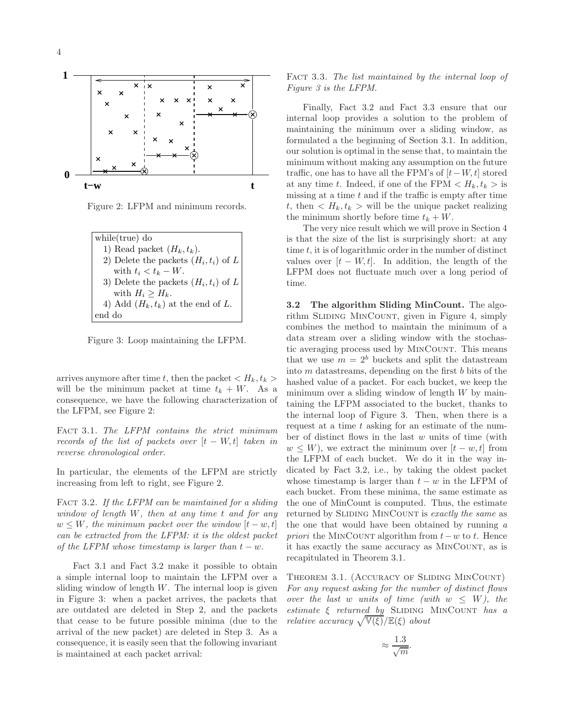

Figure 2: LFPM and minimum records.

| $while(true)$ do                        |
|-----------------------------------------|
| 1) Read packet $(H_k, t_k)$ .           |
| 2) Delete the packets $(H_i, t_i)$ of L |
| with $t_i < t_k - W$ .                  |
| 3) Delete the packets $(H_i, t_i)$ of L |
| with $H_i \geq H_k$ .                   |
| 4) Add $(H_k, t_k)$ at the end of L.    |
| end do                                  |

Figure 3: Loop maintaining the LFPM.

arrives anymore after time t, then the packet  $\langle H_k, t_k \rangle$ will be the minimum packet at time  $t_k + W$ . As a consequence, we have the following characterization of the LFPM, see Figure 2:

FACT 3.1. The LFPM contains the strict minimum records of the list of packets over  $[t - W, t]$  taken in reverse chronological order.

In particular, the elements of the LFPM are strictly increasing from left to right, see Figure 2.

FACT 3.2. If the LFPM can be maintained for a sliding window of length  $W$ , then at any time  $t$  and for any  $w \leq W$ , the minimum packet over the window  $[t-w, t]$ can be extracted from the LFPM: it is the oldest packet of the LFPM whose timestamp is larger than  $t - w$ .

Fact 3.1 and Fact 3.2 make it possible to obtain a simple internal loop to maintain the LFPM over a sliding window of length  $W$ . The internal loop is given in Figure 3: when a packet arrives, the packets that are outdated are deleted in Step 2, and the packets that cease to be future possible minima (due to the arrival of the new packet) are deleted in Step 3. As a consequence, it is easily seen that the following invariant is maintained at each packet arrival:

# FACT 3.3. The list maintained by the internal loop of Figure 3 is the LFPM.

Finally, Fact 3.2 and Fact 3.3 ensure that our internal loop provides a solution to the problem of maintaining the minimum over a sliding window, as formulated a the beginning of Section 3.1. In addition, our solution is optimal in the sense that, to maintain the minimum without making any assumption on the future traffic, one has to have all the FPM's of  $[t-W, t]$  stored at any time t. Indeed, if one of the FPM  $\langle H_k, t_k \rangle$  is missing at a time  $t$  and if the traffic is empty after time t, then  $\langle H_k, t_k \rangle$  will be the unique packet realizing the minimum shortly before time  $t_k + W$ .

The very nice result which we will prove in Section 4 is that the size of the list is surprisingly short: at any time  $t$ , it is of logarithmic order in the number of distinct values over  $[t - W, t]$ . In addition, the length of the LFPM does not fluctuate much over a long period of time.

3.2 The algorithm Sliding MinCount. The algorithm SLIDING MINCOUNT, given in Figure 4, simply combines the method to maintain the minimum of a data stream over a sliding window with the stochastic averaging process used by MinCount. This means that we use  $m = 2<sup>b</sup>$  buckets and split the datastream into  $m$  datastreams, depending on the first  $b$  bits of the hashed value of a packet. For each bucket, we keep the minimum over a sliding window of length  $W$  by maintaining the LFPM associated to the bucket, thanks to the internal loop of Figure 3. Then, when there is a request at a time t asking for an estimate of the number of distinct flows in the last w units of time (with  $w \leq W$ , we extract the minimum over  $[t-w, t]$  from the LFPM of each bucket. We do it in the way indicated by Fact 3.2, i.e., by taking the oldest packet whose timestamp is larger than  $t - w$  in the LFPM of each bucket. From these minima, the same estimate as the one of MinCount is computed. Thus, the estimate returned by SLIDING MINCOUNT is exactly the same as the one that would have been obtained by running  $a$ *priori* the MINCOUNT algorithm from  $t-w$  to t. Hence it has exactly the same accuracy as MinCount, as is recapitulated in Theorem 3.1.

Theorem 3.1. (Accuracy of Sliding MinCount) For any request asking for the number of distinct flows over the last w units of time (with  $w \leq W$ ), the estimate  $\xi$  returned by SLIDING MINCOUNT has a relative accuracy  $\sqrt{\mathbb{V}(\xi)}/\mathbb{E}(\xi)$  about

$$
\approx \frac{1.3}{\sqrt{m}}.
$$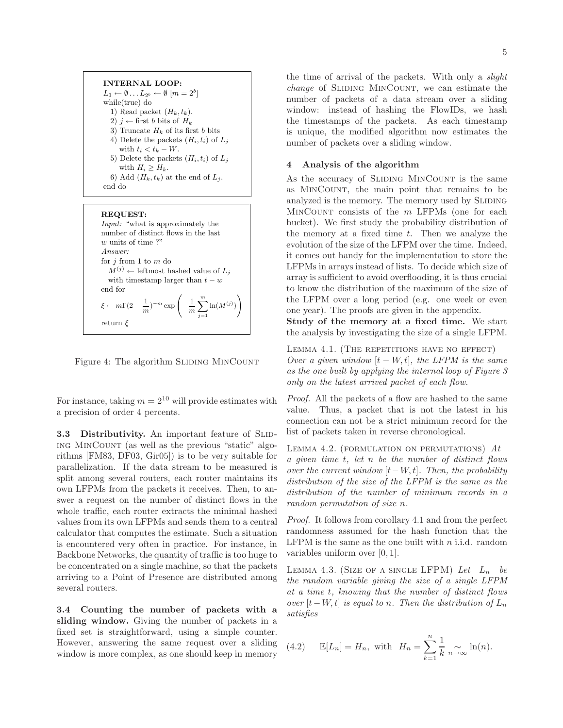INTERNAL LOOP:  $L_1 \leftarrow \emptyset \dots L_{2^b} \leftarrow \emptyset$   $[m = 2^b]$ while(true) do 1) Read packet  $(H_k, t_k)$ . 2)  $j$  ← first b bits of  $H_k$ 3) Truncate  $H_k$  of its first b bits 4) Delete the packets  $(H_i, t_i)$  of  $L_j$ with  $t_i < t_k - W$ . 5) Delete the packets  $(H_i, t_i)$  of  $L_j$ with  $H_i \geq H_k$ . 6) Add  $(H_k, t_k)$  at the end of  $L_i$ . end do

#### REQUEST: Input: "what is approximately the number of distinct flows in the last w units of time?" Answer: for  $j$  from 1 to  $m$  do  $M^{(j)} \leftarrow$  leftmost hashed value of  $L_j$ with timestamp larger than  $t - w$ end for

 $\xi \leftarrow m\Gamma(2-\frac{1}{2})$ 

return  $\xi$ 

Figure 4: The algorithm SLIDING MINCOUNT

 $\frac{1}{m}$  $\big)^{-m}$  exp  $\bigg(-\frac{1}{m}\bigg)$ 

 $\frac{1}{m}\sum_{i=1}^{m}$  $j=1$   $\ln(M^{(j)})$ 

For instance, taking  $m = 2^{10}$  will provide estimates with a precision of order 4 percents.

3.3 Distributivity. An important feature of SLIDing MinCount (as well as the previous "static" algorithms [FM83, DF03, Gir05]) is to be very suitable for parallelization. If the data stream to be measured is split among several routers, each router maintains its own LFPMs from the packets it receives. Then, to answer a request on the number of distinct flows in the whole traffic, each router extracts the minimal hashed values from its own LFPMs and sends them to a central calculator that computes the estimate. Such a situation is encountered very often in practice. For instance, in Backbone Networks, the quantity of traffic is too huge to be concentrated on a single machine, so that the packets arriving to a Point of Presence are distributed among several routers.

3.4 Counting the number of packets with a sliding window. Giving the number of packets in a fixed set is straightforward, using a simple counter. However, answering the same request over a sliding window is more complex, as one should keep in memory

the time of arrival of the packets. With only a slight change of SLIDING MINCOUNT, we can estimate the number of packets of a data stream over a sliding window: instead of hashing the FlowIDs, we hash the timestamps of the packets. As each timestamp is unique, the modified algorithm now estimates the number of packets over a sliding window.

# 4 Analysis of the algorithm

As the accuracy of SLIDING MINCOUNT is the same as MinCount, the main point that remains to be analyzed is the memory. The memory used by SLIDING  $MINCOUNT$  consists of the  $m$  LFPMs (one for each bucket). We first study the probability distribution of the memory at a fixed time  $t$ . Then we analyze the evolution of the size of the LFPM over the time. Indeed, it comes out handy for the implementation to store the LFPMs in arrays instead of lists. To decide which size of array is sufficient to avoid overflooding, it is thus crucial to know the distribution of the maximum of the size of the LFPM over a long period (e.g. one week or even one year). The proofs are given in the appendix.

Study of the memory at a fixed time. We start the analysis by investigating the size of a single LFPM.

LEMMA 4.1. (THE REPETITIONS HAVE NO EFFECT) Over a given window  $[t - W, t]$ , the LFPM is the same as the one built by applying the internal loop of Figure 3 only on the latest arrived packet of each flow.

Proof. All the packets of a flow are hashed to the same value. Thus, a packet that is not the latest in his connection can not be a strict minimum record for the list of packets taken in reverse chronological.

LEMMA 4.2. (FORMULATION ON PERMUTATIONS)  $At$ a given time t, let n be the number of distinct flows over the current window  $[t-W, t]$ . Then, the probability distribution of the size of the LFPM is the same as the distribution of the number of minimum records in a random permutation of size n.

Proof. It follows from corollary 4.1 and from the perfect randomness assumed for the hash function that the LFPM is the same as the one built with  $n$  i.i.d. random variables uniform over [0, 1].

LEMMA 4.3. (SIZE OF A SINGLE LFPM) Let  $L_n$  be the random variable giving the size of a single LFPM at a time t, knowing that the number of distinct flows over  $[t-W, t]$  is equal to n. Then the distribution of  $L_n$ satisfies

(4.2) 
$$
\mathbb{E}[L_n] = H_n
$$
, with  $H_n = \sum_{k=1}^n \frac{1}{k} \sum_{n \to \infty} \ln(n)$ .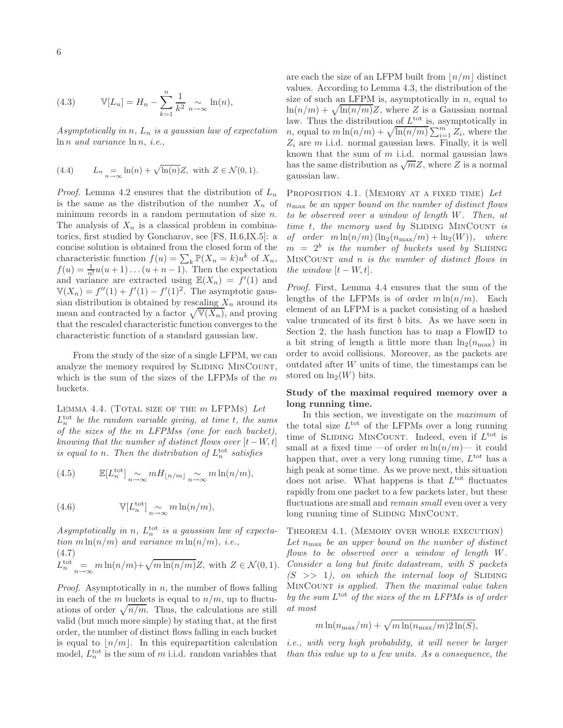(4.3) 
$$
\mathbb{V}[L_n] = H_n - \sum_{k=1}^n \frac{1}{k^2} \sum_{n \to \infty} \ln(n),
$$

Asymptotically in  $n$ ,  $L_n$  is a gaussian law of expectation  $\ln n$  and variance  $\ln n$ , *i.e.*,

(4.4) 
$$
L_n = \lim_{n \to \infty} \ln(n) + \sqrt{\ln(n)} Z, \text{ with } Z \in \mathcal{N}(0, 1).
$$

*Proof.* Lemma 4.2 ensures that the distribution of  $L_n$ is the same as the distribution of the number  $X_n$  of minimum records in a random permutation of size n. The analysis of  $X_n$  is a classical problem in combinatorics, first studied by Goncharov, see [FS, II.6,IX.5]: a concise solution is obtained from the closed form of the characteristic function  $f(u) = \sum_k \mathbb{P}(X_n = k)u^k$  of  $X_n$ ,  $f(u) = \frac{1}{n!}u(u+1)\dots(u+n-1)$ . Then the expectation and variance are extracted using  $\mathbb{E}(X_n) = f'(1)$  and  $V(X_n) = f''(1) + f'(1) - f'(1)^2$ . The asymptotic gaussian distribution is obtained by rescaling  $X_n$  around its mean and contracted by a factor  $\sqrt{\mathbb{V}(X_n)}$ , and proving that the rescaled characteristic function converges to the characteristic function of a standard gaussian law.

From the study of the size of a single LFPM, we can analyze the memory required by SLIDING MINCOUNT, which is the sum of the sizes of the LFPMs of the  $m$ buckets.

LEMMA 4.4. (TOTAL SIZE OF THE  $m$  LFPMs) Let  $L_n^{\text{tot}}$  be the random variable giving, at time t, the sums of the sizes of the m LFPMss (one for each bucket), knowing that the number of distinct flows over  $[t-W, t]$ is equal to n. Then the distribution of  $L_n^{\text{tot}}$  satisfies

(4.5) 
$$
\mathbb{E}[L_n^{\text{tot}}] \underset{n \to \infty}{\sim} m H_{\lfloor n/m \rfloor} \underset{n \to \infty}{\sim} m \ln(n/m),
$$

(4.6) 
$$
\mathbb{V}[L_n^{\text{tot}}] \underset{n \to \infty}{\sim} m \ln(n/m),
$$

Asymptotically in n,  $L_n^{\text{tot}}$  is a gaussian law of expectation  $m \ln(n/m)$  and variance  $m \ln(n/m)$ , i.e., (4.7)  $L_n^{\text{tot}} = m \ln(n/m) + \sqrt{m \ln(n/m)} Z$ , with  $Z \in \mathcal{N}(0, 1)$ .

*Proof.* Asymptotically in  $n$ , the number of flows falling in each of the m buckets is equal to  $n/m$ , up to fluctuations of order  $\sqrt{n/m}$ . Thus, the calculations are still valid (but much more simple) by stating that, at the first order, the number of distinct flows falling in each bucket is equal to  $\lfloor n/m \rfloor$ . In this equirepartition calculation model,  $L_n^{\text{tot}}$  is the sum of m i.i.d. random variables that

are each the size of an LFPM built from  $\lfloor n/m \rfloor$  distinct values. According to Lemma 4.3, the distribution of the size of such an LFPM is, asymptotically in  $n$ , equal to  $\ln(n/m) + \sqrt{\ln(n/m)}Z$ , where Z is a Gaussian normal law. Thus the distribution of  $L^{\text{tot}}$  is, asymptotically in *n*, equal to  $m \ln(n/m) + \sqrt{\ln(n/m)} \sum_{i=1}^{m} Z_i$ , where the  $Z_i$  are m i.i.d. normal gaussian laws. Finally, it is well known that the sum of  $m$  i.i.d. normal gaussian laws has the same distribution as  $\sqrt{m}Z$ , where Z is a normal gaussian law.

PROPOSITION 4.1. (MEMORY AT A FIXED TIME) Let  $n_{\text{max}}$  be an upper bound on the number of distinct flows to be observed over a window of length W. Then, at time  $t$ , the memory used by SLIDING MINCOUNT is of order  $m \ln(n/m) (\ln_2(n_{\text{max}}/m) + \ln_2(W))$ , where  $m = 2<sup>b</sup>$  is the number of buckets used by SLIDING MinCount and n is the number of distinct flows in the window  $[t - W, t]$ .

Proof. First, Lemma 4.4 ensures that the sum of the lengths of the LFPMs is of order  $m \ln(n/m)$ . Each element of an LFPM is a packet consisting of a hashed value truncated of its first b bits. As we have seen in Section 2, the hash function has to map a FlowID to a bit string of length a little more than  $\ln_2(n_{\text{max}})$  in order to avoid collisions. Moreover, as the packets are outdated after W units of time, the timestamps can be stored on  $\ln_2(W)$  bits.

# Study of the maximal required memory over a long running time.

In this section, we investigate on the maximum of the total size  $L^{\text{tot}}$  of the LFPMs over a long running time of SLIDING MINCOUNT. Indeed, even if  $L^{\text{tot}}$  is small at a fixed time —of order  $m \ln(n/m)$ — it could happen that, over a very long running time,  $L^{\text{tot}}$  has a high peak at some time. As we prove next, this situation does not arise. What happens is that  $L^{\text{tot}}$  fluctuates rapidly from one packet to a few packets later, but these fluctuations are small and *remain small* even over a very long running time of SLIDING MINCOUNT.

Theorem 4.1. (Memory over whole execution) Let  $n_{\text{max}}$  be an upper bound on the number of distinct flows to be observed over a window of length W. Consider a long but finite datastream, with S packets  $(S \gg 1)$ , on which the internal loop of SLIDING MinCount is applied. Then the maximal value taken by the sum  $L^{\text{tot}}$  of the sizes of the m LFPMs is of order at most

$$
m \ln(n_{\max}/m) + \sqrt{m \ln(n_{\max}/m) 2 \ln(S)},
$$

i.e., with very high probability, it will never be larger than this value up to a few units. As a consequence, the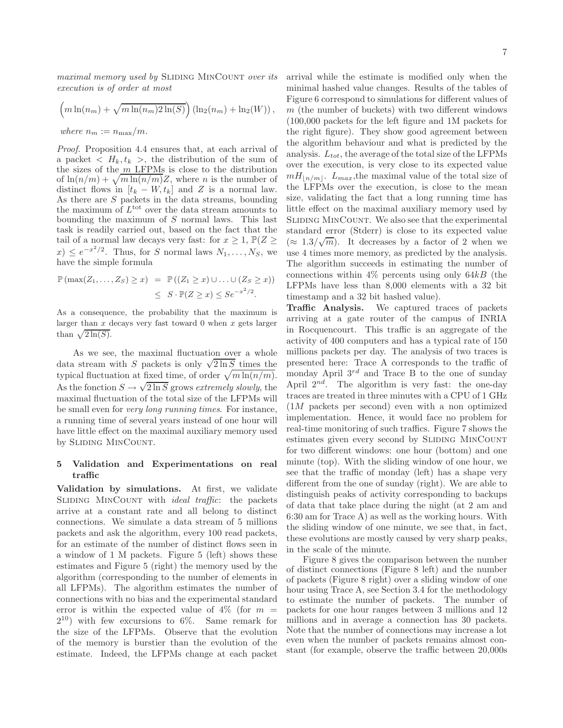maximal memory used by SLIDING MINCOUNT over its execution is of order at most

$$
\left(m\ln(n_m) + \sqrt{m\ln(n_m)2\ln(S)}\right) (\ln_2(n_m) + \ln_2(W)),
$$
  
where  $n_m := n_{\max}/m$ .

Proof. Proposition 4.4 ensures that, at each arrival of a packet  $\langle H_k, t_k \rangle$ , the distribution of the sum of the sizes of the  $m$  LFPMs is close to the distribution of  $\ln(n/m) + \sqrt{m \ln(n/m)}Z$ , where *n* is the number of distinct flows in  $[t_k - W, t_k]$  and Z is a normal law. As there are  $S$  packets in the data streams, bounding the maximum of  $L^{\text{tot}}$  over the data stream amounts to bounding the maximum of S normal laws. This last task is readily carried out, based on the fact that the tail of a normal law decays very fast: for  $x \geq 1$ ,  $\mathbb{P}(Z \geq 1)$  $(x) \leq e^{-x^2/2}$ . Thus, for S normal laws  $N_1, \ldots, N_S$ , we have the simple formula

$$
\mathbb{P}(\max(Z_1,\ldots,Z_S)\geq x) = \mathbb{P}((Z_1\geq x)\cup\ldots\cup(Z_S\geq x))
$$
  

$$
\leq S \cdot \mathbb{P}(Z\geq x) \leq Se^{-x^2/2}.
$$

As a consequence, the probability that the maximum is larger than  $x$  decays very fast toward  $0$  when  $x$  gets larger than  $\sqrt{2\ln(S)}$ .

As we see, the maximal fluctuation over a whole data stream with S packets is only  $\sqrt{2 \ln S}$  times the typical fluctuation at fixed time, of order  $\sqrt{m \ln(n/m)}$ . As the fonction  $S \to \sqrt{2 \ln S}$  grows extremely slowly, the maximal fluctuation of the total size of the LFPMs will be small even for very long running times. For instance, a running time of several years instead of one hour will have little effect on the maximal auxiliary memory used by SLIDING MINCOUNT.

## 5 Validation and Experimentations on real traffic

Validation by simulations. At first, we validate SLIDING MINCOUNT with *ideal traffic*: the packets arrive at a constant rate and all belong to distinct connections. We simulate a data stream of 5 millions packets and ask the algorithm, every 100 read packets, for an estimate of the number of distinct flows seen in a window of 1 M packets. Figure 5 (left) shows these estimates and Figure 5 (right) the memory used by the algorithm (corresponding to the number of elements in all LFPMs). The algorithm estimates the number of connections with no bias and the experimental standard error is within the expected value of  $4\%$  (for  $m =$ 2 <sup>10</sup>) with few excursions to 6%. Same remark for the size of the LFPMs. Observe that the evolution of the memory is burstier than the evolution of the estimate. Indeed, the LFPMs change at each packet

arrival while the estimate is modified only when the minimal hashed value changes. Results of the tables of Figure 6 correspond to simulations for different values of  $m$  (the number of buckets) with two different windows (100,000 packets for the left figure and 1M packets for the right figure). They show good agreement between the algorithm behaviour and what is predicted by the analysis.  $L_{tot}$ , the average of the total size of the LFPMs over the execution, is very close to its expected value  $mH_{\lfloor n/m\rfloor}$ .  $L_{max}$ , the maximal value of the total size of the LFPMs over the execution, is close to the mean size, validating the fact that a long running time has little effect on the maximal auxiliary memory used by SLIDING MINCOUNT. We also see that the experimental standard error (Stderr) is close to its expected value (≈ 1.3/ $\sqrt{m}$ ). It decreases by a factor of 2 when we use 4 times more memory, as predicted by the analysis. The algorithm succeeds in estimating the number of connections within  $4\%$  percents using only  $64kB$  (the LFPMs have less than 8,000 elements with a 32 bit timestamp and a 32 bit hashed value).

Traffic Analysis. We captured traces of packets arriving at a gate router of the campus of INRIA in Rocquencourt. This traffic is an aggregate of the activity of 400 computers and has a typical rate of 150 millions packets per day. The analysis of two traces is presented here: Trace A corresponds to the traffic of monday April  $3^{rd}$  and Trace B to the one of sunday April  $2^{nd}$ . The algorithm is very fast: the one-day traces are treated in three minutes with a CPU of 1 GHz (1M packets per second) even with a non optimized implementation. Hence, it would face no problem for real-time monitoring of such traffics. Figure 7 shows the estimates given every second by SLIDING MINCOUNT for two different windows: one hour (bottom) and one minute (top). With the sliding window of one hour, we see that the traffic of monday (left) has a shape very different from the one of sunday (right). We are able to distinguish peaks of activity corresponding to backups of data that take place during the night (at 2 am and 6:30 am for Trace A) as well as the working hours. With the sliding window of one minute, we see that, in fact, these evolutions are mostly caused by very sharp peaks, in the scale of the minute.

Figure 8 gives the comparison between the number of distinct connections (Figure 8 left) and the number of packets (Figure 8 right) over a sliding window of one hour using Trace A, see Section 3.4 for the methodology to estimate the number of packets. The number of packets for one hour ranges between 3 millions and 12 millions and in average a connection has 30 packets. Note that the number of connections may increase a lot even when the number of packets remains almost constant (for example, observe the traffic between 20,000s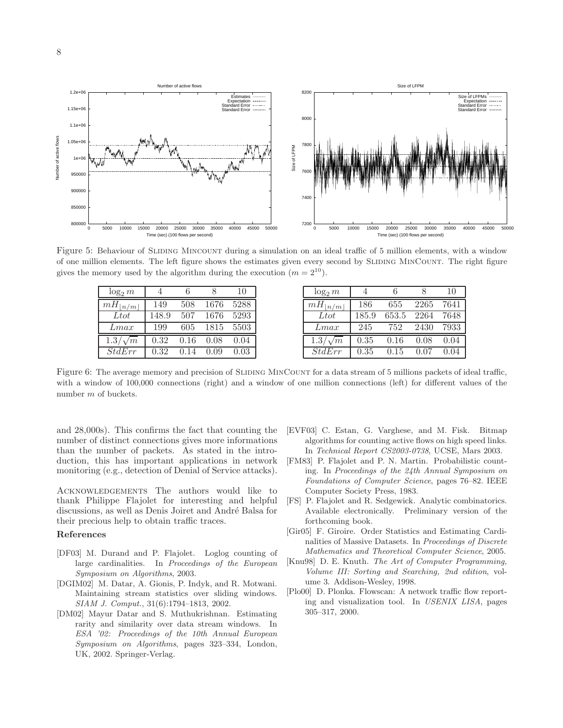

Figure 5: Behaviour of SLIDING MINCOUNT during a simulation on an ideal traffic of 5 million elements, with a window of one million elements. The left figure shows the estimates given every second by Sliding MinCount. The right figure gives the memory used by the algorithm during the execution  $(m = 2^{10})$ .

| $\log_2 m$       |       |      |      | 10   |
|------------------|-------|------|------|------|
| $mH_{\vert n/m}$ | 149   | 508  | 1676 | 5288 |
| Ltot             | 148.9 | 507  | 1676 | 5293 |
| Lmax             | 199   | 605  | 1815 | 5503 |
| $1.3/\sqrt{m}$   | 0.32  | 0.16 | 0.08 | 0.04 |
| StdErr           | 0.32  | 0.14 | 0.09 | 0.03 |

Figure 6: The average memory and precision of SLIDING MINCOUNT for a data stream of 5 millions packets of ideal traffic, with a window of 100,000 connections (right) and a window of one million connections (left) for different values of the number m of buckets.

and 28,000s). This confirms the fact that counting the number of distinct connections gives more informations than the number of packets. As stated in the introduction, this has important applications in network monitoring (e.g., detection of Denial of Service attacks).

Acknowledgements The authors would like to thank Philippe Flajolet for interesting and helpful discussions, as well as Denis Joiret and André Balsa for their precious help to obtain traffic traces.

#### References

- [DF03] M. Durand and P. Flajolet. Loglog counting of large cardinalities. In Proceedings of the European Symposium on Algorithms, 2003.
- [DGIM02] M. Datar, A. Gionis, P. Indyk, and R. Motwani. Maintaining stream statistics over sliding windows. SIAM J. Comput., 31(6):1794–1813, 2002.
- [DM02] Mayur Datar and S. Muthukrishnan. Estimating rarity and similarity over data stream windows. In ESA '02: Proceedings of the 10th Annual European Symposium on Algorithms, pages 323–334, London, UK, 2002. Springer-Verlag.
- [EVF03] C. Estan, G. Varghese, and M. Fisk. Bitmap algorithms for counting active flows on high speed links. In Technical Report CS2003-0738, UCSE, Mars 2003.
- [FM83] P. Flajolet and P. N. Martin. Probabilistic counting. In Proceedings of the 24th Annual Symposium on Foundations of Computer Science, pages 76–82. IEEE Computer Society Press, 1983.
- [FS] P. Flajolet and R. Sedgewick. Analytic combinatorics. Available electronically. Preliminary version of the forthcoming book.
- [Gir05] F. Giroire. Order Statistics and Estimating Cardinalities of Massive Datasets. In Proceedings of Discrete Mathematics and Theoretical Computer Science, 2005.
- [Knu98] D. E. Knuth. The Art of Computer Programming, Volume III: Sorting and Searching, 2nd edition, volume 3. Addison-Wesley, 1998.
- [Plo00] D. Plonka. Flowscan: A network traffic flow reporting and visualization tool. In USENIX LISA, pages 305–317, 2000.